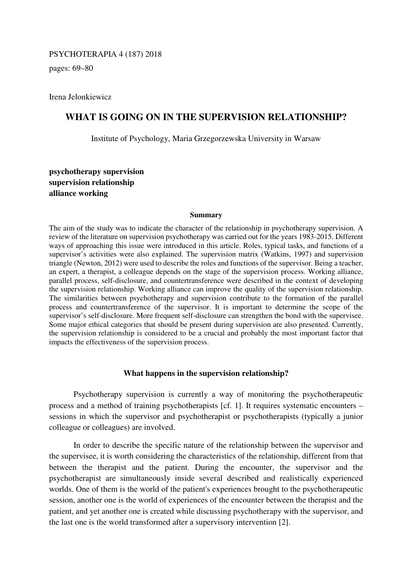## PSYCHOTERAPIA 4 (187) 2018

pages: 69–80

Irena Jelonkiewicz

# **WHAT IS GOING ON IN THE SUPERVISION RELATIONSHIP?**

Institute of Psychology, Maria Grzegorzewska University in Warsaw

**psychotherapy supervision supervision relationship alliance working** 

#### **Summary**

The aim of the study was to indicate the character of the relationship in psychotherapy supervision. A review of the literature on supervision psychotherapy was carried out for the years 1983-2015. Different ways of approaching this issue were introduced in this article. Roles, typical tasks, and functions of a supervisor's activities were also explained. The supervision matrix (Watkins, 1997) and supervision triangle (Newton, 2012) were used to describe the roles and functions of the supervisor. Being a teacher, an expert, a therapist, a colleague depends on the stage of the supervision process. Working alliance, parallel process, self-disclosure, and countertransference were described in the context of developing the supervision relationship. Working alliance can improve the quality of the supervision relationship. The similarities between psychotherapy and supervision contribute to the formation of the parallel process and countertransference of the supervisor. It is important to determine the scope of the supervisor's self-disclosure. More frequent self-disclosure can strengthen the bond with the supervisee. Some major ethical categories that should be present during supervision are also presented. Currently, the supervision relationship is considered to be a crucial and probably the most important factor that impacts the effectiveness of the supervision process.

### **What happens in the supervision relationship?**

Psychotherapy supervision is currently a way of monitoring the psychotherapeutic process and a method of training psychotherapists [cf. 1]. It requires systematic encounters – sessions in which the supervisor and psychotherapist or psychotherapists (typically a junior colleague or colleagues) are involved.

In order to describe the specific nature of the relationship between the supervisor and the supervisee, it is worth considering the characteristics of the relationship, different from that between the therapist and the patient. During the encounter, the supervisor and the psychotherapist are simultaneously inside several described and realistically experienced worlds. One of them is the world of the patient's experiences brought to the psychotherapeutic session, another one is the world of experiences of the encounter between the therapist and the patient, and yet another one is created while discussing psychotherapy with the supervisor, and the last one is the world transformed after a supervisory intervention [2].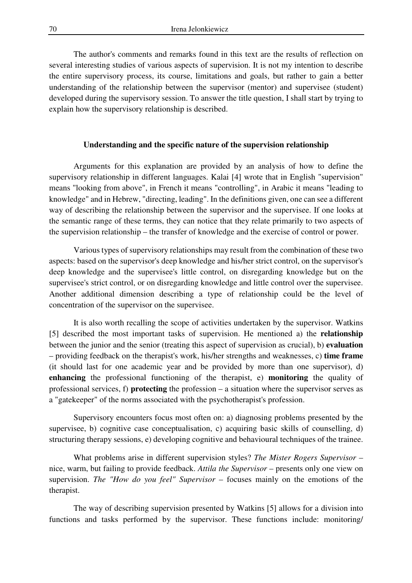The author's comments and remarks found in this text are the results of reflection on several interesting studies of various aspects of supervision. It is not my intention to describe the entire supervisory process, its course, limitations and goals, but rather to gain a better understanding of the relationship between the supervisor (mentor) and supervisee (student) developed during the supervisory session. To answer the title question, I shall start by trying to explain how the supervisory relationship is described.

### **Understanding and the specific nature of the supervision relationship**

Arguments for this explanation are provided by an analysis of how to define the supervisory relationship in different languages. Kalai [4] wrote that in English "supervision" means "looking from above", in French it means "controlling", in Arabic it means "leading to knowledge" and in Hebrew, "directing, leading". In the definitions given, one can see a different way of describing the relationship between the supervisor and the supervisee. If one looks at the semantic range of these terms, they can notice that they relate primarily to two aspects of the supervision relationship – the transfer of knowledge and the exercise of control or power.

Various types of supervisory relationships may result from the combination of these two aspects: based on the supervisor's deep knowledge and his/her strict control, on the supervisor's deep knowledge and the supervisee's little control, on disregarding knowledge but on the supervisee's strict control, or on disregarding knowledge and little control over the supervisee. Another additional dimension describing a type of relationship could be the level of concentration of the supervisor on the supervisee.

It is also worth recalling the scope of activities undertaken by the supervisor. Watkins [5] described the most important tasks of supervision. He mentioned a) the **relationship** between the junior and the senior (treating this aspect of supervision as crucial), b) **evaluation** – providing feedback on the therapist's work, his/her strengths and weaknesses, c) **time frame** (it should last for one academic year and be provided by more than one supervisor), d) **enhancing** the professional functioning of the therapist, e) **monitoring** the quality of professional services, f) **protecting** the profession – a situation where the supervisor serves as a "gatekeeper" of the norms associated with the psychotherapist's profession.

Supervisory encounters focus most often on: a) diagnosing problems presented by the supervisee, b) cognitive case conceptualisation, c) acquiring basic skills of counselling, d) structuring therapy sessions, e) developing cognitive and behavioural techniques of the trainee.

What problems arise in different supervision styles? *The Mister Rogers Supervisor* – nice, warm, but failing to provide feedback. *Attila the Supervisor* – presents only one view on supervision. *The "How do you feel" Supervisor* – focuses mainly on the emotions of the therapist.

The way of describing supervision presented by Watkins [5] allows for a division into functions and tasks performed by the supervisor. These functions include: monitoring/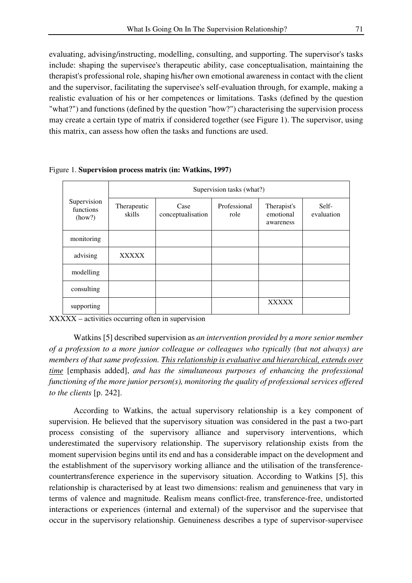evaluating, advising/instructing, modelling, consulting, and supporting. The supervisor's tasks include: shaping the supervisee's therapeutic ability, case conceptualisation, maintaining the therapist's professional role, shaping his/her own emotional awareness in contact with the client and the supervisor, facilitating the supervisee's self-evaluation through, for example, making a realistic evaluation of his or her competences or limitations. Tasks (defined by the question "what?") and functions (defined by the question "how?") characterising the supervision process may create a certain type of matrix if considered together (see Figure 1). The supervisor, using this matrix, can assess how often the tasks and functions are used.

|                                    | Supervision tasks (what?) |                           |                      |                                       |                     |
|------------------------------------|---------------------------|---------------------------|----------------------|---------------------------------------|---------------------|
| Supervision<br>functions<br>(how?) | Therapeutic<br>skills     | Case<br>conceptualisation | Professional<br>role | Therapist's<br>emotional<br>awareness | Self-<br>evaluation |
| monitoring                         |                           |                           |                      |                                       |                     |
| advising                           | <b>XXXXX</b>              |                           |                      |                                       |                     |
| modelling                          |                           |                           |                      |                                       |                     |
| consulting                         |                           |                           |                      |                                       |                     |
| supporting                         |                           |                           |                      | <b>XXXXX</b>                          |                     |

Figure 1. **Supervision process matrix (in: Watkins, 1997)**

XXXXX – activities occurring often in supervision

Watkins [5] described supervision as *an intervention provided by a more senior member of a profession to a more junior colleague or colleagues who typically (but not always) are members of that same profession. This relationship is evaluative and hierarchical, extends over time* [emphasis added], *and has the simultaneous purposes of enhancing the professional functioning of the more junior person(s), monitoring the quality of professional services offered to the clients* [p. 242].

According to Watkins, the actual supervisory relationship is a key component of supervision. He believed that the supervisory situation was considered in the past a two-part process consisting of the supervisory alliance and supervisory interventions, which underestimated the supervisory relationship. The supervisory relationship exists from the moment supervision begins until its end and has a considerable impact on the development and the establishment of the supervisory working alliance and the utilisation of the transferencecountertransference experience in the supervisory situation. According to Watkins [5], this relationship is characterised by at least two dimensions: realism and genuineness that vary in terms of valence and magnitude. Realism means conflict-free, transference-free, undistorted interactions or experiences (internal and external) of the supervisor and the supervisee that occur in the supervisory relationship. Genuineness describes a type of supervisor-supervisee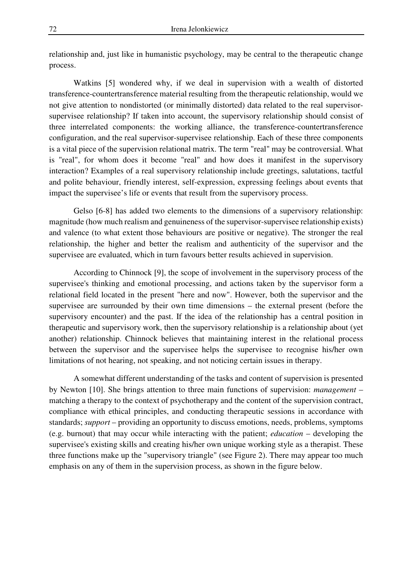relationship and, just like in humanistic psychology, may be central to the therapeutic change process.

Watkins [5] wondered why, if we deal in supervision with a wealth of distorted transference-countertransference material resulting from the therapeutic relationship, would we not give attention to nondistorted (or minimally distorted) data related to the real supervisorsupervisee relationship? If taken into account, the supervisory relationship should consist of three interrelated components: the working alliance, the transference-countertransference configuration, and the real supervisor-supervisee relationship. Each of these three components is a vital piece of the supervision relational matrix. The term "real" may be controversial. What is "real", for whom does it become "real" and how does it manifest in the supervisory interaction? Examples of a real supervisory relationship include greetings, salutations, tactful and polite behaviour, friendly interest, self-expression, expressing feelings about events that impact the supervisee's life or events that result from the supervisory process.

Gelso [6-8] has added two elements to the dimensions of a supervisory relationship: magnitude (how much realism and genuineness of the supervisor-supervisee relationship exists) and valence (to what extent those behaviours are positive or negative). The stronger the real relationship, the higher and better the realism and authenticity of the supervisor and the supervisee are evaluated, which in turn favours better results achieved in supervision.

According to Chinnock [9], the scope of involvement in the supervisory process of the supervisee's thinking and emotional processing, and actions taken by the supervisor form a relational field located in the present "here and now". However, both the supervisor and the supervisee are surrounded by their own time dimensions – the external present (before the supervisory encounter) and the past. If the idea of the relationship has a central position in therapeutic and supervisory work, then the supervisory relationship is a relationship about (yet another) relationship. Chinnock believes that maintaining interest in the relational process between the supervisor and the supervisee helps the supervisee to recognise his/her own limitations of not hearing, not speaking, and not noticing certain issues in therapy.

A somewhat different understanding of the tasks and content of supervision is presented by Newton [10]. She brings attention to three main functions of supervision: *management* – matching a therapy to the context of psychotherapy and the content of the supervision contract, compliance with ethical principles, and conducting therapeutic sessions in accordance with standards; *support* – providing an opportunity to discuss emotions, needs, problems, symptoms (e.g. burnout) that may occur while interacting with the patient; *education* – developing the supervisee's existing skills and creating his/her own unique working style as a therapist. These three functions make up the "supervisory triangle" (see Figure 2). There may appear too much emphasis on any of them in the supervision process, as shown in the figure below.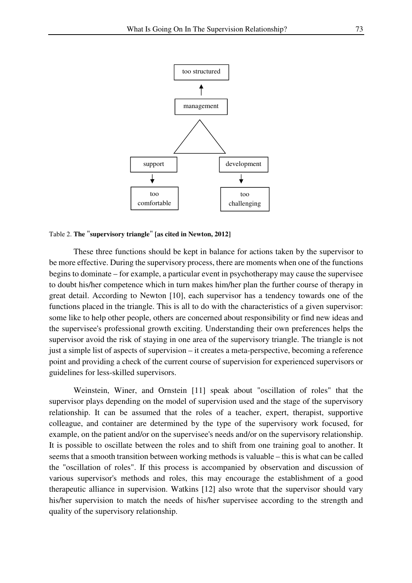

## Table 2. **The** "**supervisory triangle**" **[as cited in Newton, 2012]**

These three functions should be kept in balance for actions taken by the supervisor to be more effective. During the supervisory process, there are moments when one of the functions begins to dominate – for example, a particular event in psychotherapy may cause the supervisee to doubt his/her competence which in turn makes him/her plan the further course of therapy in great detail. According to Newton [10], each supervisor has a tendency towards one of the functions placed in the triangle. This is all to do with the characteristics of a given supervisor: some like to help other people, others are concerned about responsibility or find new ideas and the supervisee's professional growth exciting. Understanding their own preferences helps the supervisor avoid the risk of staying in one area of the supervisory triangle. The triangle is not just a simple list of aspects of supervision – it creates a meta-perspective, becoming a reference point and providing a check of the current course of supervision for experienced supervisors or guidelines for less-skilled supervisors.

Weinstein, Winer, and Ornstein [11] speak about "oscillation of roles" that the supervisor plays depending on the model of supervision used and the stage of the supervisory relationship. It can be assumed that the roles of a teacher, expert, therapist, supportive colleague, and container are determined by the type of the supervisory work focused, for example, on the patient and/or on the supervisee's needs and/or on the supervisory relationship. It is possible to oscillate between the roles and to shift from one training goal to another. It seems that a smooth transition between working methods is valuable – this is what can be called the "oscillation of roles". If this process is accompanied by observation and discussion of various supervisor's methods and roles, this may encourage the establishment of a good therapeutic alliance in supervision. Watkins [12] also wrote that the supervisor should vary his/her supervision to match the needs of his/her supervisee according to the strength and quality of the supervisory relationship.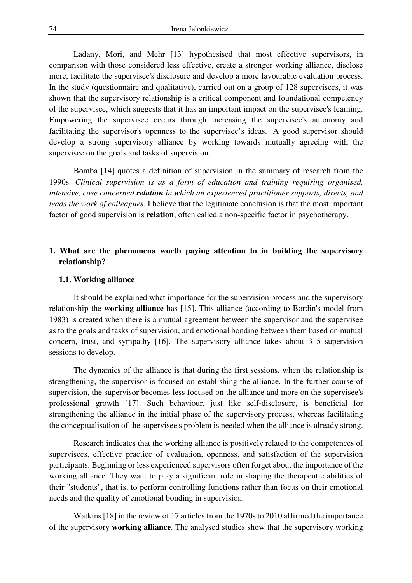Ladany, Mori, and Mehr [13] hypothesised that most effective supervisors, in comparison with those considered less effective, create a stronger working alliance, disclose more, facilitate the supervisee's disclosure and develop a more favourable evaluation process. In the study (questionnaire and qualitative), carried out on a group of 128 supervisees, it was shown that the supervisory relationship is a critical component and foundational competency of the supervisee, which suggests that it has an important impact on the supervisee's learning. Empowering the supervisee occurs through increasing the supervisee's autonomy and facilitating the supervisor's openness to the supervisee's ideas. A good supervisor should develop a strong supervisory alliance by working towards mutually agreeing with the supervisee on the goals and tasks of supervision.

Bomba [14] quotes a definition of supervision in the summary of research from the 1990s. *Clinical supervision is as a form of education and training requiring organised, intensive, case concerned relation in which an experienced practitioner supports, directs, and leads the work of colleagues*. I believe that the legitimate conclusion is that the most important factor of good supervision is **relation**, often called a non-specific factor in psychotherapy.

## **1. What are the phenomena worth paying attention to in building the supervisory relationship?**

### **1.1. Working alliance**

It should be explained what importance for the supervision process and the supervisory relationship the **working alliance** has [15]. This alliance (according to Bordin's model from 1983) is created when there is a mutual agreement between the supervisor and the supervisee as to the goals and tasks of supervision, and emotional bonding between them based on mutual concern, trust, and sympathy [16]. The supervisory alliance takes about 3–5 supervision sessions to develop.

The dynamics of the alliance is that during the first sessions, when the relationship is strengthening, the supervisor is focused on establishing the alliance. In the further course of supervision, the supervisor becomes less focused on the alliance and more on the supervisee's professional growth [17]. Such behaviour, just like self-disclosure, is beneficial for strengthening the alliance in the initial phase of the supervisory process, whereas facilitating the conceptualisation of the supervisee's problem is needed when the alliance is already strong.

Research indicates that the working alliance is positively related to the competences of supervisees, effective practice of evaluation, openness, and satisfaction of the supervision participants. Beginning or less experienced supervisors often forget about the importance of the working alliance. They want to play a significant role in shaping the therapeutic abilities of their "students", that is, to perform controlling functions rather than focus on their emotional needs and the quality of emotional bonding in supervision.

Watkins [18] in the review of 17 articles from the 1970s to 2010 affirmed the importance of the supervisory **working alliance**. The analysed studies show that the supervisory working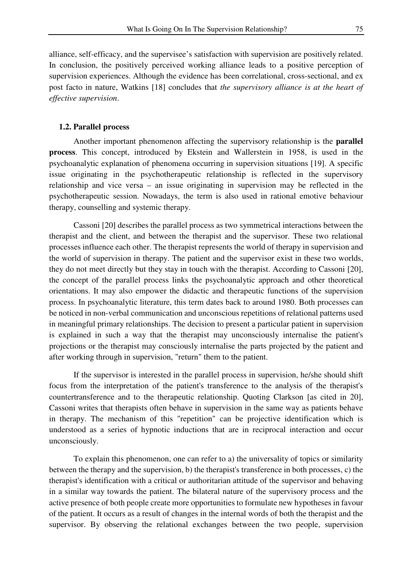alliance, self-efficacy, and the supervisee's satisfaction with supervision are positively related. In conclusion, the positively perceived working alliance leads to a positive perception of supervision experiences. Although the evidence has been correlational, cross-sectional, and ex post facto in nature, Watkins [18] concludes that *the supervisory alliance is at the heart of effective supervision*.

## **1.2. Parallel process**

Another important phenomenon affecting the supervisory relationship is the **parallel process**. This concept, introduced by Ekstein and Wallerstein in 1958, is used in the psychoanalytic explanation of phenomena occurring in supervision situations [19]. A specific issue originating in the psychotherapeutic relationship is reflected in the supervisory relationship and vice versa – an issue originating in supervision may be reflected in the psychotherapeutic session. Nowadays, the term is also used in rational emotive behaviour therapy, counselling and systemic therapy.

Cassoni [20] describes the parallel process as two symmetrical interactions between the therapist and the client, and between the therapist and the supervisor. These two relational processes influence each other. The therapist represents the world of therapy in supervision and the world of supervision in therapy. The patient and the supervisor exist in these two worlds, they do not meet directly but they stay in touch with the therapist. According to Cassoni [20], the concept of the parallel process links the psychoanalytic approach and other theoretical orientations. It may also empower the didactic and therapeutic functions of the supervision process. In psychoanalytic literature, this term dates back to around 1980. Both processes can be noticed in non-verbal communication and unconscious repetitions of relational patterns used in meaningful primary relationships. The decision to present a particular patient in supervision is explained in such a way that the therapist may unconsciously internalise the patient's projections or the therapist may consciously internalise the parts projected by the patient and after working through in supervision, "return" them to the patient.

If the supervisor is interested in the parallel process in supervision, he/she should shift focus from the interpretation of the patient's transference to the analysis of the therapist's countertransference and to the therapeutic relationship. Quoting Clarkson [as cited in 20], Cassoni writes that therapists often behave in supervision in the same way as patients behave in therapy. The mechanism of this "repetition" can be projective identification which is understood as a series of hypnotic inductions that are in reciprocal interaction and occur unconsciously.

To explain this phenomenon, one can refer to a) the universality of topics or similarity between the therapy and the supervision, b) the therapist's transference in both processes, c) the therapist's identification with a critical or authoritarian attitude of the supervisor and behaving in a similar way towards the patient. The bilateral nature of the supervisory process and the active presence of both people create more opportunities to formulate new hypotheses in favour of the patient. It occurs as a result of changes in the internal words of both the therapist and the supervisor. By observing the relational exchanges between the two people, supervision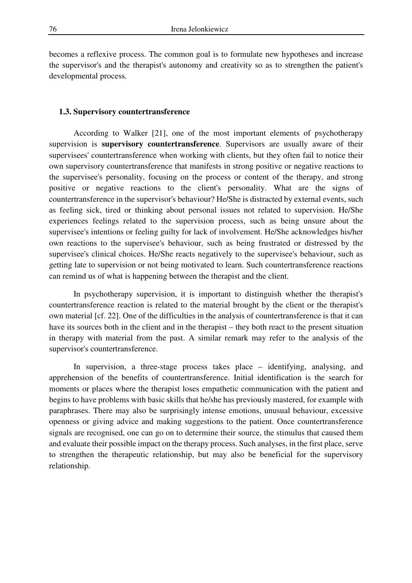becomes a reflexive process. The common goal is to formulate new hypotheses and increase the supervisor's and the therapist's autonomy and creativity so as to strengthen the patient's developmental process*.*

## **1.3. Supervisory countertransference**

According to Walker [21], one of the most important elements of psychotherapy supervision is **supervisory countertransference**. Supervisors are usually aware of their supervisees' countertransference when working with clients, but they often fail to notice their own supervisory countertransference that manifests in strong positive or negative reactions to the supervisee's personality, focusing on the process or content of the therapy, and strong positive or negative reactions to the client's personality. What are the signs of countertransference in the supervisor's behaviour? He/She is distracted by external events, such as feeling sick, tired or thinking about personal issues not related to supervision. He/She experiences feelings related to the supervision process, such as being unsure about the supervisee's intentions or feeling guilty for lack of involvement. He/She acknowledges his/her own reactions to the supervisee's behaviour, such as being frustrated or distressed by the supervisee's clinical choices. He/She reacts negatively to the supervisee's behaviour, such as getting late to supervision or not being motivated to learn. Such countertransference reactions can remind us of what is happening between the therapist and the client.

In psychotherapy supervision, it is important to distinguish whether the therapist's countertransference reaction is related to the material brought by the client or the therapist's own material [cf. 22]. One of the difficulties in the analysis of countertransference is that it can have its sources both in the client and in the therapist – they both react to the present situation in therapy with material from the past. A similar remark may refer to the analysis of the supervisor's countertransference.

In supervision, a three-stage process takes place – identifying, analysing, and apprehension of the benefits of countertransference. Initial identification is the search for moments or places where the therapist loses empathetic communication with the patient and begins to have problems with basic skills that he/she has previously mastered, for example with paraphrases. There may also be surprisingly intense emotions, unusual behaviour, excessive openness or giving advice and making suggestions to the patient. Once countertransference signals are recognised, one can go on to determine their source, the stimulus that caused them and evaluate their possible impact on the therapy process. Such analyses, in the first place, serve to strengthen the therapeutic relationship, but may also be beneficial for the supervisory relationship.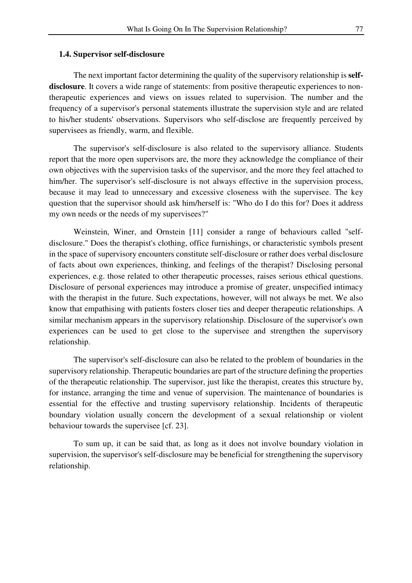### **1.4. Supervisor self-disclosure**

The next important factor determining the quality of the supervisory relationship is **self**disclosure. It covers a wide range of statements: from positive therapeutic experiences to nontherapeutic experiences and views on issues related to supervision. The number and the frequency of a supervisor's personal statements illustrate the supervision style and are related to his/her students' observations. Supervisors who self-disclose are frequently perceived by supervisees as friendly, warm, and flexible.

The supervisor's self-disclosure is also related to the supervisory alliance. Students report that the more open supervisors are, the more they acknowledge the compliance of their own objectives with the supervision tasks of the supervisor, and the more they feel attached to him/her. The supervisor's self-disclosure is not always effective in the supervision process, because it may lead to unnecessary and excessive closeness with the supervisee. The key question that the supervisor should ask him/herself is: "Who do I do this for? Does it address my own needs or the needs of my supervisees?"

Weinstein, Winer, and Ornstein [11] consider a range of behaviours called "selfdisclosure." Does the therapist's clothing, office furnishings, or characteristic symbols present in the space of supervisory encounters constitute self-disclosure or rather does verbal disclosure of facts about own experiences, thinking, and feelings of the therapist? Disclosing personal experiences, e.g. those related to other therapeutic processes, raises serious ethical questions. Disclosure of personal experiences may introduce a promise of greater, unspecified intimacy with the therapist in the future. Such expectations, however, will not always be met. We also know that empathising with patients fosters closer ties and deeper therapeutic relationships. A similar mechanism appears in the supervisory relationship. Disclosure of the supervisor's own experiences can be used to get close to the supervisee and strengthen the supervisory relationship.

The supervisor's self-disclosure can also be related to the problem of boundaries in the supervisory relationship. Therapeutic boundaries are part of the structure defining the properties of the therapeutic relationship. The supervisor, just like the therapist, creates this structure by, for instance, arranging the time and venue of supervision. The maintenance of boundaries is essential for the effective and trusting supervisory relationship. Incidents of therapeutic boundary violation usually concern the development of a sexual relationship or violent behaviour towards the supervisee [cf. 23].

To sum up, it can be said that, as long as it does not involve boundary violation in supervision, the supervisor's self-disclosure may be beneficial for strengthening the supervisory relationship.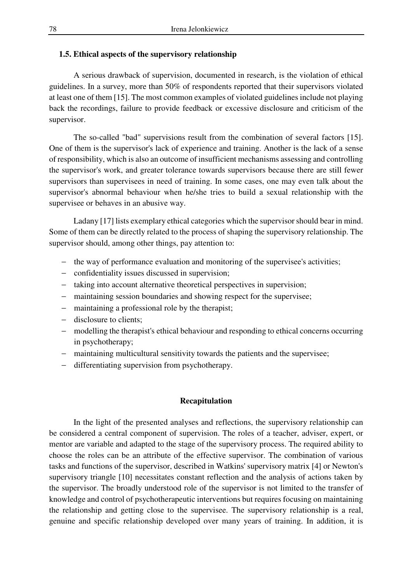## **1.5. Ethical aspects of the supervisory relationship**

A serious drawback of supervision, documented in research, is the violation of ethical guidelines. In a survey, more than 50% of respondents reported that their supervisors violated at least one of them [15]. The most common examples of violated guidelines include not playing back the recordings, failure to provide feedback or excessive disclosure and criticism of the supervisor.

The so-called "bad" supervisions result from the combination of several factors [15]. One of them is the supervisor's lack of experience and training. Another is the lack of a sense of responsibility, which is also an outcome of insufficient mechanisms assessing and controlling the supervisor's work, and greater tolerance towards supervisors because there are still fewer supervisors than supervisees in need of training. In some cases, one may even talk about the supervisor's abnormal behaviour when he/she tries to build a sexual relationship with the supervisee or behaves in an abusive way.

Ladany [17] lists exemplary ethical categories which the supervisor should bear in mind. Some of them can be directly related to the process of shaping the supervisory relationship. The supervisor should, among other things, pay attention to:

- − the way of performance evaluation and monitoring of the supervisee's activities;
- − confidentiality issues discussed in supervision;
- − taking into account alternative theoretical perspectives in supervision;
- − maintaining session boundaries and showing respect for the supervisee;
- − maintaining a professional role by the therapist;
- − disclosure to clients;
- − modelling the therapist's ethical behaviour and responding to ethical concerns occurring in psychotherapy;
- − maintaining multicultural sensitivity towards the patients and the supervisee;
- − differentiating supervision from psychotherapy.

## **Recapitulation**

In the light of the presented analyses and reflections, the supervisory relationship can be considered a central component of supervision. The roles of a teacher, adviser, expert, or mentor are variable and adapted to the stage of the supervisory process. The required ability to choose the roles can be an attribute of the effective supervisor. The combination of various tasks and functions of the supervisor, described in Watkins' supervisory matrix [4] or Newton's supervisory triangle [10] necessitates constant reflection and the analysis of actions taken by the supervisor. The broadly understood role of the supervisor is not limited to the transfer of knowledge and control of psychotherapeutic interventions but requires focusing on maintaining the relationship and getting close to the supervisee. The supervisory relationship is a real, genuine and specific relationship developed over many years of training. In addition, it is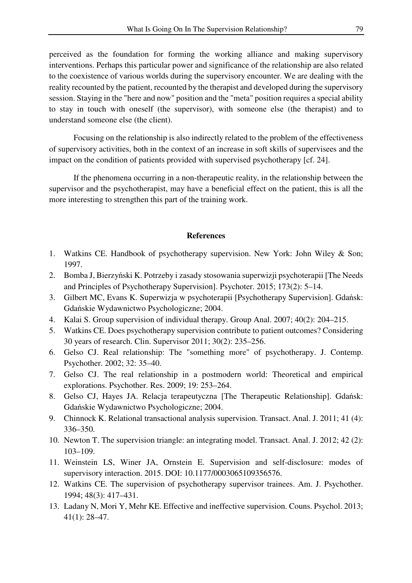perceived as the foundation for forming the working alliance and making supervisory interventions. Perhaps this particular power and significance of the relationship are also related to the coexistence of various worlds during the supervisory encounter. We are dealing with the reality recounted by the patient, recounted by the therapist and developed during the supervisory session. Staying in the "here and now" position and the "meta" position requires a special ability to stay in touch with oneself (the supervisor), with someone else (the therapist) and to understand someone else (the client).

Focusing on the relationship is also indirectly related to the problem of the effectiveness of supervisory activities, both in the context of an increase in soft skills of supervisees and the impact on the condition of patients provided with supervised psychotherapy [cf. 24].

If the phenomena occurring in a non-therapeutic reality, in the relationship between the supervisor and the psychotherapist, may have a beneficial effect on the patient, this is all the more interesting to strengthen this part of the training work.

## **References**

- 1. Watkins CE. Handbook of psychotherapy supervision. New York: John Wiley & Son; 1997.
- 2. Bomba J, Bierzyński K. Potrzeby i zasady stosowania superwizji psychoterapii [The Needs and Principles of Psychotherapy Supervision]. Psychoter. 2015; 173(2): 5–14.
- 3. Gilbert MC, Evans K. Superwizja w psychoterapii [Psychotherapy Supervision]. Gdańsk: Gdańskie Wydawnictwo Psychologiczne; 2004.
- 4. Kalai S. Group supervision of individual therapy. Group Anal. 2007; 40(2): 204–215.
- 5. Watkins CE. Does psychotherapy supervision contribute to patient outcomes? Considering 30 years of research. Clin. Supervisor 2011; 30(2): 235–256.
- 6. Gelso CJ. Real relationship: The "something more" of psychotherapy. J. Contemp. Psychother. 2002; 32: 35–40.
- 7. Gelso CJ. The real relationship in a postmodern world: Theoretical and empirical explorations. Psychother. Res. 2009; 19: 253–264.
- 8. Gelso CJ, Hayes JA. Relacja terapeutyczna [The Therapeutic Relationship]. Gdańsk: Gdańskie Wydawnictwo Psychologiczne; 2004.
- 9. Chinnock K. Relational transactional analysis supervision. Transact. Anal. J. 2011; 41 (4): 336–350.
- 10. Newton T. The supervision triangle: an integrating model. Transact. Anal. J. 2012; 42 (2): 103–109.
- 11. Weinstein LS, Winer JA, Ornstein E. Supervision and self-disclosure: modes of supervisory interaction. 2015. DOI: 10.1177/0003065109356576.
- 12. Watkins CE. The supervision of psychotherapy supervisor trainees. Am. J. Psychother. 1994; 48(3): 417–431.
- 13. Ladany N, Mori Y, Mehr KE. Effective and ineffective supervision. Couns. Psychol. 2013; 41(1): 28–47.